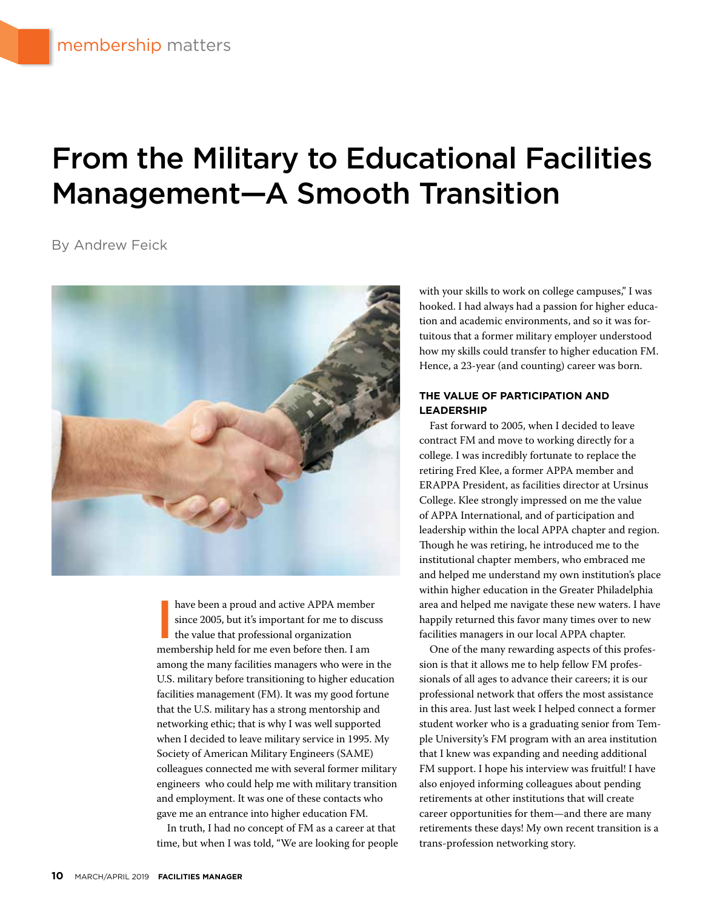## From the Military to Educational Facilities Management—A Smooth Transition

By Andrew Feick



have been a proud and active APPA member<br>since 2005, but it's important for me to discus<br>the value that professional organization<br>membership held for me even before then Lam since 2005, but it's important for me to discuss the value that professional organization membership held for me even before then. I am among the many facilities managers who were in the U.S. military before transitioning to higher education facilities management (FM). It was my good fortune that the U.S. military has a strong mentorship and networking ethic; that is why I was well supported when I decided to leave military service in 1995. My Society of American Military Engineers (SAME) colleagues connected me with several former military engineers who could help me with military transition and employment. It was one of these contacts who gave me an entrance into higher education FM.

In truth, I had no concept of FM as a career at that time, but when I was told, "We are looking for people with your skills to work on college campuses," I was hooked. I had always had a passion for higher education and academic environments, and so it was fortuitous that a former military employer understood how my skills could transfer to higher education FM. Hence, a 23-year (and counting) career was born.

#### **THE VALUE OF PARTICIPATION AND LEADERSHIP**

Fast forward to 2005, when I decided to leave contract FM and move to working directly for a college. I was incredibly fortunate to replace the retiring Fred Klee, a former APPA member and ERAPPA President, as facilities director at Ursinus College. Klee strongly impressed on me the value of APPA International, and of participation and leadership within the local APPA chapter and region. Though he was retiring, he introduced me to the institutional chapter members, who embraced me and helped me understand my own institution's place within higher education in the Greater Philadelphia area and helped me navigate these new waters. I have happily returned this favor many times over to new facilities managers in our local APPA chapter.

One of the many rewarding aspects of this profession is that it allows me to help fellow FM professionals of all ages to advance their careers; it is our professional network that offers the most assistance in this area. Just last week I helped connect a former student worker who is a graduating senior from Temple University's FM program with an area institution that I knew was expanding and needing additional FM support. I hope his interview was fruitful! I have also enjoyed informing colleagues about pending retirements at other institutions that will create career opportunities for them—and there are many retirements these days! My own recent transition is a trans-profession networking story.